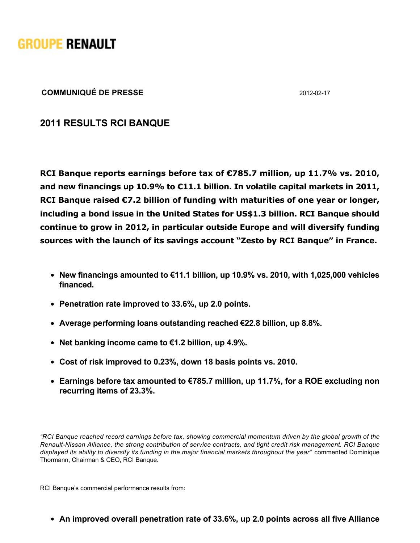

**COMMUNIQUÉ DE PRESSE** 2012-02-17

## **2011 RESULTS RCI BANQUE**

**RCI Banque reports earnings before tax of €785.7 million, up 11.7% vs. 2010, and new financings up 10.9% to €11.1 billion. In volatile capital markets in 2011, RCI Banque raised €7.2 billion of funding with maturities of one year or longer, including a bond issue in the United States for US\$1.3 billion. RCI Banque should continue to grow in 2012, in particular outside Europe and will diversify funding sources with the launch of its savings account "Zesto by RCI Banque" in France.**

- **New financings amounted to €11.1 billion, up 10.9% vs. 2010, with 1,025,000 vehicles financed.**
- **Penetration rate improved to 33.6%, up 2.0 points.**
- **Average performing loans outstanding reached €22.8 billion, up 8.8%.**
- **Net banking income came to €1.2 billion, up 4.9%.**
- **Cost of risk improved to 0.23%, down 18 basis points vs. 2010.**
- **Earnings before tax amounted to €785.7 million, up 11.7%, for a ROE excluding non recurring items of 23.3%.**

*"RCI Banque reached record earnings before tax, showing commercial momentum driven by the global growth of the Renault-Nissan Alliance, the strong contribution of service contracts, and tight credit risk management. RCI Banque displayed its ability to diversify its funding in the major financial markets throughout the year"*  commented Dominique Thormann, Chairman & CEO, RCI Banque*.*

RCI Banque's commercial performance results from:

**An improved overall penetration rate of 33.6%, up 2.0 points across all five Alliance**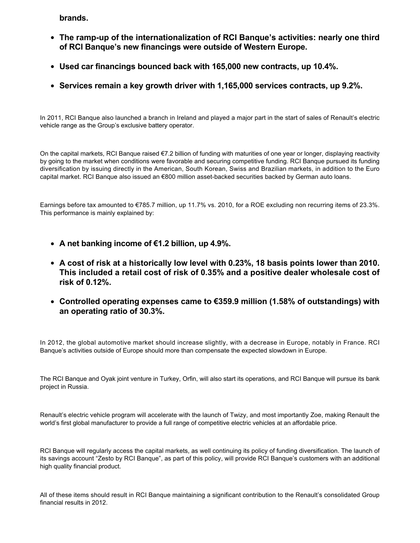**brands.**

- **The ramp-up of the internationalization of RCI Banque's activities: nearly one third of RCI Banque's new financings were outside of Western Europe.**
- **Used car financings bounced back with 165,000 new contracts, up 10.4%.**
- **Services remain a key growth driver with 1,165,000 services contracts, up 9.2%.**

In 2011, RCI Banque also launched a branch in Ireland and played a major part in the start of sales of Renault's electric vehicle range as the Group's exclusive battery operator.

On the capital markets, RCI Banque raised €7.2 billion of funding with maturities of one year or longer, displaying reactivity by going to the market when conditions were favorable and securing competitive funding. RCI Banque pursued its funding diversification by issuing directly in the American, South Korean, Swiss and Brazilian markets, in addition to the Euro capital market. RCI Banque also issued an €800 million asset-backed securities backed by German auto loans.

Earnings before tax amounted to €785.7 million, up 11.7% vs. 2010, for a ROE excluding non recurring items of 23.3%. This performance is mainly explained by:

- **A net banking income of €1.2 billion, up 4.9%.**
- **A cost of risk at a historically low level with 0.23%, 18 basis points lower than 2010. This included a retail cost of risk of 0.35% and a positive dealer wholesale cost of risk of 0.12%.**
- **Controlled operating expenses came to €359.9 million (1.58% of outstandings) with an operating ratio of 30.3%.**

In 2012, the global automotive market should increase slightly, with a decrease in Europe, notably in France. RCI Banque's activities outside of Europe should more than compensate the expected slowdown in Europe.

The RCI Banque and Oyak joint venture in Turkey, Orfin, will also start its operations, and RCI Banque will pursue its bank project in Russia.

Renault's electric vehicle program will accelerate with the launch of Twizy, and most importantly Zoe, making Renault the world's first global manufacturer to provide a full range of competitive electric vehicles at an affordable price.

RCI Banque will regularly access the capital markets, as well continuing its policy of funding diversification. The launch of its savings account "Zesto by RCI Banque", as part of this policy, will provide RCI Banque's customers with an additional high quality financial product.

All of these items should result in RCI Banque maintaining a significant contribution to the Renault's consolidated Group financial results in 2012.